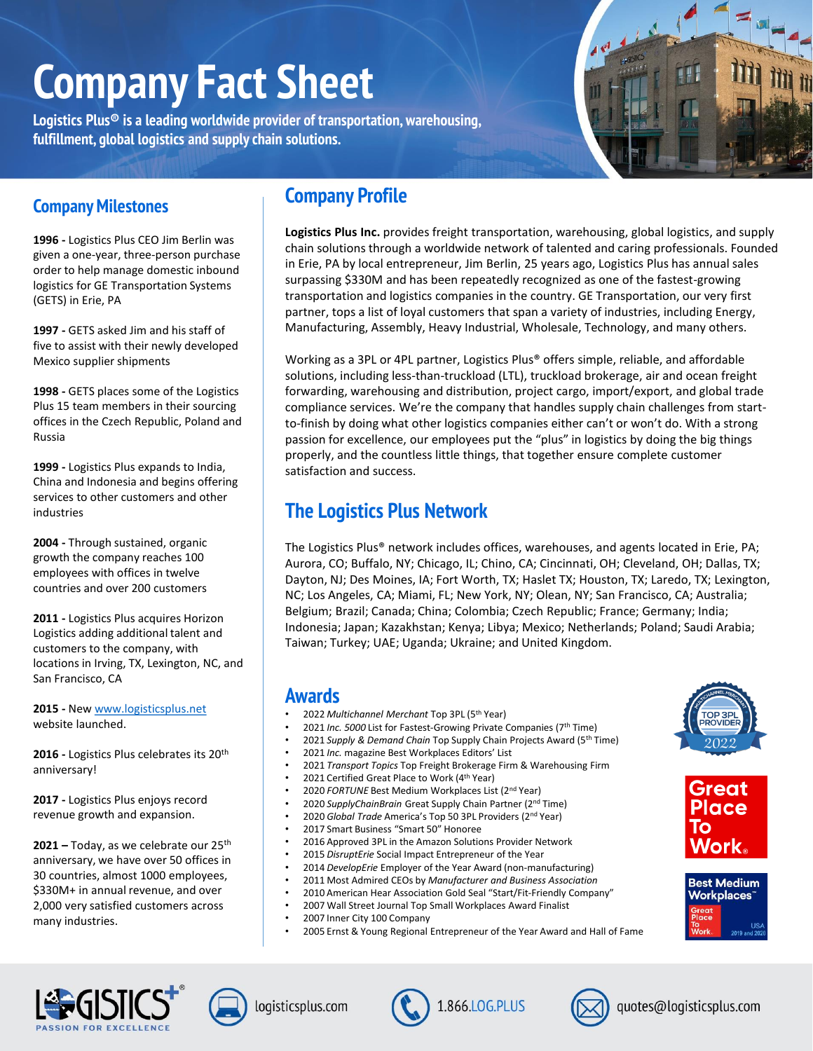# **Company Fact Sheet**

**Logistics Plus® is a leading worldwide provider of transportation, warehousing, fulfillment, global logistics and supply chain solutions.** 



## **Company Milestones**

**1996 -** Logistics Plus CEO Jim Berlin was given a one-year, three-person purchase order to help manage domestic inbound logistics for GE Transportation Systems (GETS) in Erie, PA

**1997 -** GETS asked Jim and his staff of five to assist with their newly developed Mexico supplier shipments

**1998 -** GETS places some of the Logistics Plus 15 team members in their sourcing offices in the Czech Republic, Poland and Russia

**1999 -** Logistics Plus expands to India, China and Indonesia and begins offering services to other customers and other industries

**2004 -** Through sustained, organic growth the company reaches 100 employees with offices in twelve countries and over 200 customers

**2011 -** Logistics Plus acquires Horizon Logistics adding additional talent and customers to the company, with locations in Irving, TX, Lexington, NC, and San Francisco, CA

**2015 -** New [www.logisticsplus.net](http://www.logisticsplus.net/) website launched.

**2016 -** Logistics Plus celebrates its 20th anniversary!

**2017 -** Logistics Plus enjoys record revenue growth and expansion.

**2021 –** Today, as we celebrate our 25th anniversary, we have over 50 offices in 30 countries, almost 1000 employees, \$330M+ in annual revenue, and over 2,000 very satisfied customers across many industries.

# **Company Profile**

**Logistics Plus Inc.** provides freight transportation, warehousing, global logistics, and supply chain solutions through a worldwide network of talented and caring professionals. Founded in Erie, PA by local entrepreneur, Jim Berlin, 25 years ago, Logistics Plus has annual sales surpassing \$330M and has been repeatedly recognized as one of the fastest-growing transportation and logistics companies in the country. GE Transportation, our very first partner, tops a list of loyal customers that span a variety of industries, including Energy, Manufacturing, Assembly, Heavy Industrial, Wholesale, Technology, and many others.

Working as a 3PL or 4PL partner, Logistics Plus® offers simple, reliable, and affordable solutions, including less-than-truckload (LTL), truckload brokerage, air and ocean freight forwarding, warehousing and distribution, project cargo, import/export, and global trade compliance services. We're the company that handles supply chain challenges from startto-finish by doing what other logistics companies either can't or won't do. With a strong passion for excellence, our employees put the "plus" in logistics by doing the big things properly, and the countless little things, that together ensure complete customer satisfaction and success.

# **The Logistics Plus Network**

The Logistics Plus® network includes offices, warehouses, and agents located in Erie, PA; Aurora, CO; Buffalo, NY; Chicago, IL; Chino, CA; Cincinnati, OH; Cleveland, OH; Dallas, TX; Dayton, NJ; Des Moines, IA; Fort Worth, TX; Haslet TX; Houston, TX; Laredo, TX; Lexington, NC; Los Angeles, CA; Miami, FL; New York, NY; Olean, NY; San Francisco, CA; Australia; Belgium; Brazil; Canada; China; Colombia; Czech Republic; France; Germany; India; Indonesia; Japan; Kazakhstan; Kenya; Libya; Mexico; Netherlands; Poland; Saudi Arabia; Taiwan; Turkey; UAE; Uganda; Ukraine; and United Kingdom.

## **Awards**

- 2022 *Multichannel Merchant* Top 3PL (5th Year)
- 2021 *Inc. 5000* List for Fastest-Growing Private Companies (7th Time)
- 2021 *Supply & Demand Chain* Top Supply Chain Projects Award (5th Time)
- 2021 *Inc.* magazine Best Workplaces Editors' List
- 2021 *Transport Topics* Top Freight Brokerage Firm & Warehousing Firm
- 2021 Certified Great Place to Work (4<sup>th</sup> Year)
- 2020 *FORTUNE* Best Medium Workplaces List (2nd Year)
- 2020 *SupplyChainBrain* Great Supply Chain Partner (2nd Time)
- 2020 *Global Trade* America's Top 50 3PL Providers (2nd Year)
- 2017 Smart Business "Smart 50" Honoree
- 2016 Approved 3PL in the Amazon Solutions Provider Network
- 2015 *DisruptErie* Social Impact Entrepreneur of the Year
- 2014 *DevelopErie* Employer of the Year Award (non-manufacturing)
- 2011 Most Admired CEOs by *Manufacturer and Business Association*
- 2010 American Hear Association Gold Seal "Start/Fit-Friendly Company"
- 2007 Wall Street Journal Top Small Workplaces Award Finalist
- 2007 Inner City 100 Company
- 2005 Ernst & Young Regional Entrepreneur of the Year Award and Hall of Fame



 $C<sub>0</sub>$ 

/ork

ROVIDE